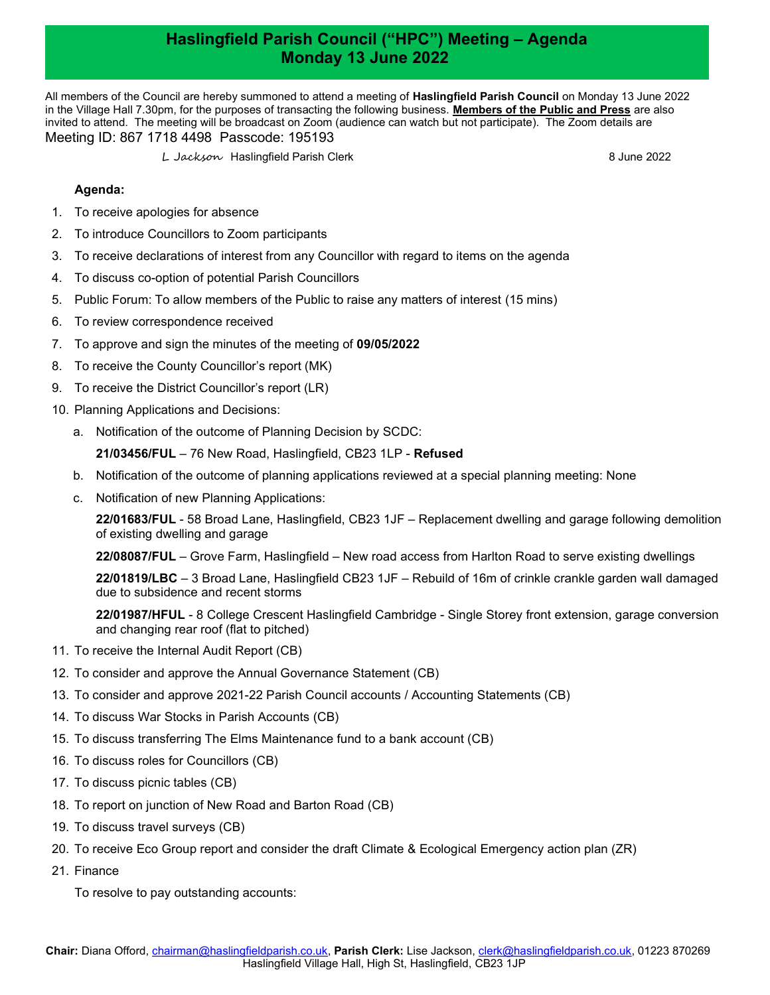## Haslingfield Parish Council ("HPC") Meeting – Agenda Monday 13 June 2022

All members of the Council are hereby summoned to attend a meeting of Haslingfield Parish Council on Monday 13 June 2022 in the Village Hall 7.30pm, for the purposes of transacting the following business. Members of the Public and Press are also invited to attend. The meeting will be broadcast on Zoom (audience can watch but not participate). The Zoom details are Meeting ID: 867 1718 4498 Passcode: 195193

L Jackson Haslingfield Parish Clerk 8 June 2022

## Agenda:

- 1. To receive apologies for absence
- 2. To introduce Councillors to Zoom participants
- 3. To receive declarations of interest from any Councillor with regard to items on the agenda
- 4. To discuss co-option of potential Parish Councillors
- 5. Public Forum: To allow members of the Public to raise any matters of interest (15 mins)
- 6. To review correspondence received
- 7. To approve and sign the minutes of the meeting of 09/05/2022
- 8. To receive the County Councillor's report (MK)
- 9. To receive the District Councillor's report (LR)
- 10. Planning Applications and Decisions:
	- a. Notification of the outcome of Planning Decision by SCDC:

21/03456/FUL – 76 New Road, Haslingfield, CB23 1LP - Refused

- b. Notification of the outcome of planning applications reviewed at a special planning meeting: None
- c. Notification of new Planning Applications:

22/01683/FUL - 58 Broad Lane, Haslingfield, CB23 1JF – Replacement dwelling and garage following demolition of existing dwelling and garage

22/08087/FUL – Grove Farm, Haslingfield – New road access from Harlton Road to serve existing dwellings

22/01819/LBC – 3 Broad Lane, Haslingfield CB23 1JF – Rebuild of 16m of crinkle crankle garden wall damaged due to subsidence and recent storms

22/01987/HFUL - 8 College Crescent Haslingfield Cambridge - Single Storey front extension, garage conversion and changing rear roof (flat to pitched)

- 11. To receive the Internal Audit Report (CB)
- 12. To consider and approve the Annual Governance Statement (CB)
- 13. To consider and approve 2021-22 Parish Council accounts / Accounting Statements (CB)
- 14. To discuss War Stocks in Parish Accounts (CB)
- 15. To discuss transferring The Elms Maintenance fund to a bank account (CB)
- 16. To discuss roles for Councillors (CB)
- 17. To discuss picnic tables (CB)
- 18. To report on junction of New Road and Barton Road (CB)
- 19. To discuss travel surveys (CB)
- 20. To receive Eco Group report and consider the draft Climate & Ecological Emergency action plan (ZR)
- 21. Finance

To resolve to pay outstanding accounts: